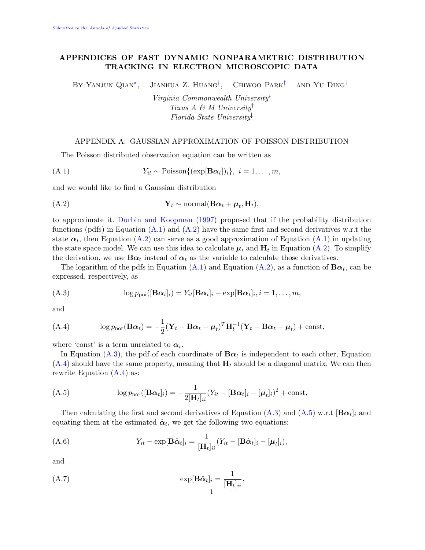## APPENDICES OF FAST DYNAMIC NONPARAMETRIC DISTRIBUTION TRACKING IN ELECTRON MICROSCOPIC DATA

BY YANJUN QIAN<sup>\*</sup>, JIANHUA Z. HUANG<sup>[†](#page-0-1)</sup>, CHIWOO PARK<sup> $\ddagger$ </sup> and Yu Ding<sup>[†](#page-0-1)</sup>

> <span id="page-0-4"></span><span id="page-0-3"></span><span id="page-0-2"></span><span id="page-0-1"></span><span id="page-0-0"></span>Virginia Commonwealth University<sup>∗</sup> Texas A & M University Florida State University‡

### APPENDIX A: GAUSSIAN APPROXIMATION OF POISSON DISTRIBUTION

The Poisson distributed observation equation can be written as

$$
(A.1) \t Y_{it} \sim \text{Poisson}\{(\exp[\mathbf{B}\alpha_t])_i\}, \ i = 1, \ldots, m,
$$

and we would like to find a Gaussian distribution

$$
\mathbf{Y}_t \sim \text{normal}(\mathbf{B}\boldsymbol{\alpha}_t + \boldsymbol{\mu}_t, \mathbf{H}_t),
$$

to approximate it. [Durbin and Koopman](#page-2-0) [\(1997\)](#page-2-0) proposed that if the probability distribution functions (pdfs) in Equation  $(A.1)$  and  $(A.2)$  have the same first and second derivatives w.r.t the state  $\alpha_t$ , then Equation [\(A.2\)](#page-0-4) can serve as a good approximation of Equation [\(A.1\)](#page-0-3) in updating the state space model. We can use this idea to calculate  $\mu_t$  and  $H_t$  in Equation [\(A.2\)](#page-0-4). To simplify the derivation, we use  $\mathbf{B}\alpha_t$  instead of  $\alpha_t$  as the variable to calculate those derivatives.

The logarithm of the pdfs in Equation [\(A.1\)](#page-0-3) and Equation [\(A.2\)](#page-0-4), as a function of  $\mathbf{B}\alpha_t$ , can be expressed, respectively, as

<span id="page-0-5"></span>
$$
(A.3) \qquad \log p_{\text{pol}}([\mathbf{B}\boldsymbol{\alpha}_t]_i) = Y_{it}[\mathbf{B}\boldsymbol{\alpha}_t]_i - \exp[\mathbf{B}\boldsymbol{\alpha}_t]_i, i = 1,\ldots,m,
$$

and

<span id="page-0-6"></span>(A.4) 
$$
\log p_{\text{nor}}(\mathbf{B}\boldsymbol{\alpha}_t) = -\frac{1}{2}(\mathbf{Y}_t - \mathbf{B}\boldsymbol{\alpha}_t - \boldsymbol{\mu}_t)^T \mathbf{H}_t^{-1}(\mathbf{Y}_t - \mathbf{B}\boldsymbol{\alpha}_t - \boldsymbol{\mu}_t) + \text{const},
$$

where 'const' is a term unrelated to  $\alpha_t$ .

In Equation [\(A.3\)](#page-0-5), the pdf of each coordinate of  $\mathbf{B}\alpha_t$  is independent to each other, Equation  $(A.4)$  should have the same property, meaning that  $H_t$  should be a diagonal matrix. We can then rewrite Equation  $(A.4)$  as:

<span id="page-0-7"></span>
$$
\text{(A.5)} \qquad \qquad \log p_{\text{nor}}([\mathbf{B}\boldsymbol{\alpha}_t]_i) = -\frac{1}{2[\mathbf{H}_t]_{ii}}(Y_{it} - [\mathbf{B}\boldsymbol{\alpha}_t]_i - [\boldsymbol{\mu}_t]_i)^2 + \text{const},
$$

Then calculating the first and second derivatives of Equation [\(A.3\)](#page-0-5) and [\(A.5\)](#page-0-7) w.r.t [ $B\alpha_t$ ]<sub>i</sub> and equating them at the estimated  $\hat{\boldsymbol{\alpha}}_t$ , we get the following two equations:

(A.6) 
$$
Y_{it} - \exp[\mathbf{B}\hat{\boldsymbol{\alpha}}_t]_i = \frac{1}{[\mathbf{H}_t]_{ii}} (Y_{it} - [\mathbf{B}\hat{\boldsymbol{\alpha}}_t]_i - [\boldsymbol{\mu}_t]_i),
$$

and

(A.7) 
$$
\exp[\mathbf{B}\hat{\boldsymbol{\alpha}}_t]_i = \frac{1}{[\mathbf{H}_t]_{ii}}.
$$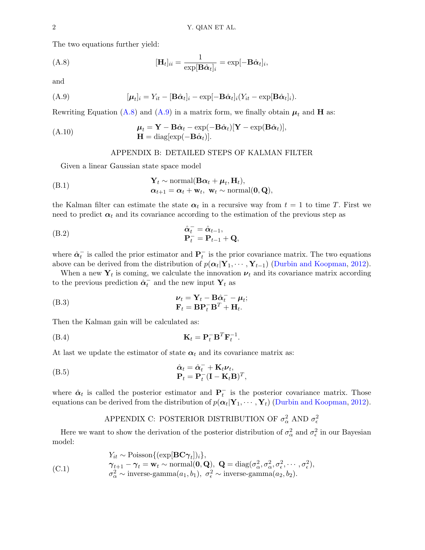The two equations further yield:

<span id="page-1-0"></span>(A.8) 
$$
[\mathbf{H}_t]_{ii} = \frac{1}{\exp[\mathbf{B}\hat{\boldsymbol{\alpha}}_t]_i} = \exp[-\mathbf{B}\hat{\boldsymbol{\alpha}}_t]_i,
$$

and

$$
(A.9) \qquad [\boldsymbol{\mu}_t]_i = Y_{it} - [\mathbf{B}\hat{\boldsymbol{\alpha}}_t]_i - \exp[-\mathbf{B}\hat{\boldsymbol{\alpha}}_t]_i(Y_{it} - \exp[\mathbf{B}\hat{\boldsymbol{\alpha}}_t]_i).
$$

Rewriting Equation [\(A.8\)](#page-1-0) and [\(A.9\)](#page-1-1) in a matrix form, we finally obtain  $\mu_t$  and **H** as:

$$
\mathbf{\mu}_t = \mathbf{Y} - \mathbf{B}\hat{\mathbf{\alpha}}_t - \exp(-\mathbf{B}\hat{\mathbf{\alpha}}_t)[\mathbf{Y} - \exp(\mathbf{B}\hat{\mathbf{\alpha}}_t)],
$$
  
\n
$$
\mathbf{H} = \text{diag}[\exp(-\mathbf{B}\hat{\mathbf{\alpha}}_t)].
$$

### <span id="page-1-1"></span>APPENDIX B: DETAILED STEPS OF KALMAN FILTER

Given a linear Gaussian state space model

(B.1) 
$$
\mathbf{Y}_{t} \sim \text{normal}(\mathbf{B}\boldsymbol{\alpha}_{t} + \boldsymbol{\mu}_{t}, \mathbf{H}_{t}),
$$

$$
\boldsymbol{\alpha}_{t+1} = \boldsymbol{\alpha}_{t} + \mathbf{w}_{t}, \ \mathbf{w}_{t} \sim \text{normal}(\mathbf{0}, \mathbf{Q}),
$$

the Kalman filter can estimate the state  $\alpha_t$  in a recursive way from  $t = 1$  to time T. First we need to predict  $\alpha_t$  and its covariance according to the estimation of the previous step as

(B.2) 
$$
\begin{aligned}\n\hat{\alpha}_t^- &= \hat{\alpha}_{t-1}, \\
\mathbf{P}_t^- &= \mathbf{P}_{t-1} + \mathbf{Q},\n\end{aligned}
$$

where  $\hat{\alpha}_t^-$  is called the prior estimator and  $P_t^-$  is the prior covariance matrix. The two equations above can be derived from the distribution of  $p(\alpha_t | Y_1, \dots, Y_{t-1})$  [\(Durbin and Koopman,](#page-2-1) [2012\)](#page-2-1).

When a new  $Y_t$  is coming, we calculate the innovation  $\nu_t$  and its covariance matrix according to the previous prediction  $\hat{\boldsymbol{\alpha}}_t^-$  and the new input  $\mathbf{Y}_t$  as

(B.3) 
$$
\nu_t = \mathbf{Y}_t - \mathbf{B}\hat{\alpha}_t^- - \mu_t; \mathbf{F}_t = \mathbf{B}\mathbf{P}_t^- \mathbf{B}^T + \mathbf{H}_t.
$$

Then the Kalman gain will be calculated as:

$$
\mathbf{K}_t = \mathbf{P}_t^- \mathbf{B}^T \mathbf{F}_t^{-1}.
$$

At last we update the estimator of state  $\alpha_t$  and its covariance matrix as:

(B.5) 
$$
\hat{\alpha}_t = \hat{\alpha}_t^- + \mathbf{K}_t \boldsymbol{\nu}_t, \n\mathbf{P}_t = \mathbf{P}_t^- (\mathbf{I} - \mathbf{K}_t \mathbf{B})^T,
$$

where  $\hat{\alpha}_t$  is called the posterior estimator and  $\mathbf{P}^-_t$  is the posterior covariance matrix. Those equations can be derived from the distribution of  $p(\alpha_t | Y_1, \cdots, Y_t)$  [\(Durbin and Koopman,](#page-2-1) [2012\)](#page-2-1).

# <span id="page-1-2"></span>APPENDIX C: POSTERIOR DISTRIBUTION OF  $\sigma_{\alpha}^2$  AND  $\sigma_{\epsilon}^2$

Here we want to show the derivation of the posterior distribution of  $\sigma_{\alpha}^2$  and  $\sigma_{\epsilon}^2$  in our Bayesian model:

$$
Y_{it} \sim \text{Poisson}\{(\exp[\mathbf{BC}\boldsymbol{\gamma}_t])_i\},
$$
  
\n(C.1) 
$$
\boldsymbol{\gamma}_{t+1} - \boldsymbol{\gamma}_t = \mathbf{w}_t \sim \text{normal}(\mathbf{0}, \mathbf{Q}), \ \mathbf{Q} = \text{diag}(\sigma_\alpha^2, \sigma_\alpha^2, \sigma_\epsilon^2, \cdots, \sigma_\epsilon^2),
$$
  
\n
$$
\sigma_\alpha^2 \sim \text{inverse-gamma}(a_1, b_1), \ \sigma_\epsilon^2 \sim \text{inverse-gamma}(a_2, b_2).
$$